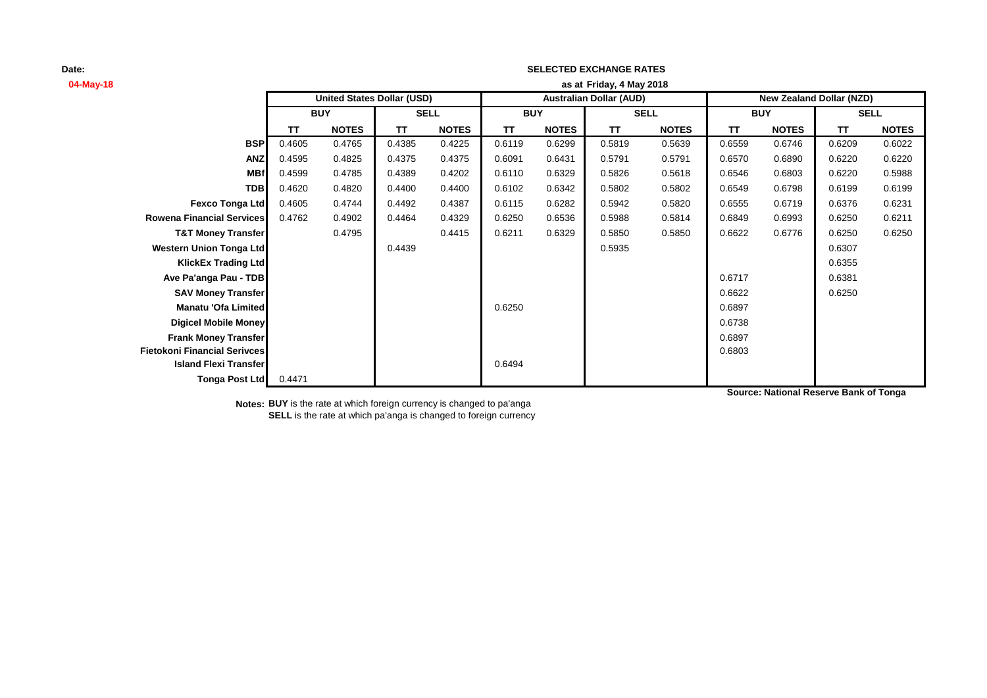# **04-May-18 as at TT NOTES TT NOTES TT NOTES TT NOTES TT NOTES TT NOTES BSP** 0.4605 0.4765 0.4385 0.4225 0.6119 0.6299 0.5819 0.5639 0.6559 0.6746 0.6209 0.6022 **ANZ** 0.4595 0.4825 0.4375 0.4375 0.6091 0.6431 0.5791 0.5791 0.6570 0.6890 0.6220 0.6220 **MBf** 0.4599 0.4785 0.4389 0.4202 0.6110 0.6329 0.5826 0.5618 0.6546 0.6803 0.6220 0.5988 **TDB** 0.4620 0.4820 0.4400 0.4400 0.6102 0.6342 0.5802 0.5802 0.6549 0.6798 0.6199 0.6199 **Fexco Tonga Ltd** 0.4605 0.4744 0.4492 0.4387 0.6115 0.6282 0.5942 0.5820 0.6555 0.6719 0.6376 0.6231 **Rowena Financial Services** 0.4762 0.4902 0.4464 0.4329 0.6250 0.6536 0.5988 0.5814 0.6849 0.6993 0.6250 0.6211 **T&T Money Transfer** 0.4795 0.4415 0.6211 0.6329 0.5850 0.5850 0.6622 0.6776 0.6250 0.6250 **Western Union Tonga Ltd 1.6307 1.6307 1.6307 1.6307 1.6307 1.6307 1.6307 1.6307 1.6307 1.6307 KlickEx Trading Ltd** 0.6355 **Ave Pa'anga Pau - TDB** 0.6381 **SAV Money Transfer** 0.6622 0.6250 **Manatu 'Ofa Limited** 0.6897 **Digicel Mobile Money** 0.6738 **Frank Money Transfer** 0.6897 **Fietokoni Financial Serivces** 0.6803 **Island Flexi Transfer** 0.6494 **Tonga Post Ltd** 0.4471 **SELL United States Dollar (USD) Australian Dollar (AUD) New Zealand Dollar (NZD) BUY SELL BUY SELL BUY Friday, 4 May 2018**

**SELECTED EXCHANGE RATES**

**Source: National Reserve Bank of Tonga**

**Notes: BUY** is the rate at which foreign currency is changed to pa'anga **SELL** is the rate at which pa'anga is changed to foreign currency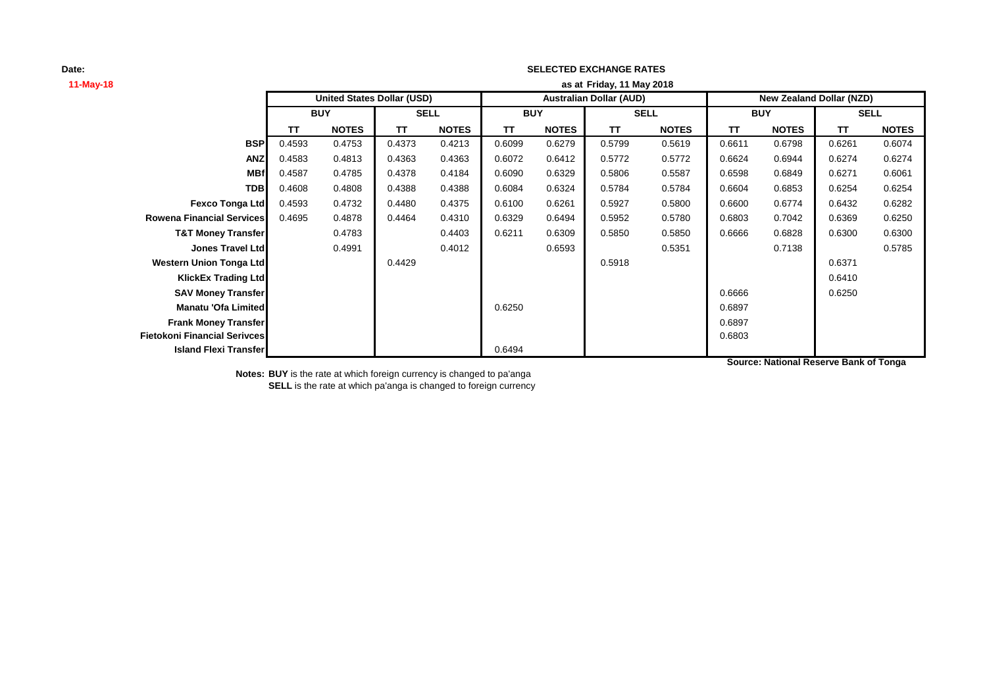### **SELECTED EXCHANGE RATES**

**Friday, 11 May 2018**

| 11-May-18                           | as at Friday, 11 May 2018         |              |             |              |                                |              |             |              |                                 |              |             |              |
|-------------------------------------|-----------------------------------|--------------|-------------|--------------|--------------------------------|--------------|-------------|--------------|---------------------------------|--------------|-------------|--------------|
|                                     | <b>United States Dollar (USD)</b> |              |             |              | <b>Australian Dollar (AUD)</b> |              |             |              | <b>New Zealand Dollar (NZD)</b> |              |             |              |
|                                     | <b>BUY</b>                        |              | <b>SELL</b> |              | <b>BUY</b>                     |              | <b>SELL</b> |              | <b>BUY</b>                      |              | <b>SELL</b> |              |
|                                     | <b>TT</b>                         | <b>NOTES</b> | <b>TT</b>   | <b>NOTES</b> | TΤ                             | <b>NOTES</b> | <b>TT</b>   | <b>NOTES</b> | TΤ                              | <b>NOTES</b> | TΤ          | <b>NOTES</b> |
| <b>BSP</b>                          | 0.4593                            | 0.4753       | 0.4373      | 0.4213       | 0.6099                         | 0.6279       | 0.5799      | 0.5619       | 0.6611                          | 0.6798       | 0.6261      | 0.6074       |
| <b>ANZ</b>                          | 0.4583                            | 0.4813       | 0.4363      | 0.4363       | 0.6072                         | 0.6412       | 0.5772      | 0.5772       | 0.6624                          | 0.6944       | 0.6274      | 0.6274       |
| <b>MBf</b>                          | 0.4587                            | 0.4785       | 0.4378      | 0.4184       | 0.6090                         | 0.6329       | 0.5806      | 0.5587       | 0.6598                          | 0.6849       | 0.6271      | 0.6061       |
| <b>TDB</b>                          | 0.4608                            | 0.4808       | 0.4388      | 0.4388       | 0.6084                         | 0.6324       | 0.5784      | 0.5784       | 0.6604                          | 0.6853       | 0.6254      | 0.6254       |
| Fexco Tonga Ltd                     | 0.4593                            | 0.4732       | 0.4480      | 0.4375       | 0.6100                         | 0.6261       | 0.5927      | 0.5800       | 0.6600                          | 0.6774       | 0.6432      | 0.6282       |
| <b>Rowena Financial Services</b>    | 0.4695                            | 0.4878       | 0.4464      | 0.4310       | 0.6329                         | 0.6494       | 0.5952      | 0.5780       | 0.6803                          | 0.7042       | 0.6369      | 0.6250       |
| <b>T&amp;T Money Transfer</b>       |                                   | 0.4783       |             | 0.4403       | 0.6211                         | 0.6309       | 0.5850      | 0.5850       | 0.6666                          | 0.6828       | 0.6300      | 0.6300       |
| <b>Jones Travel Ltd</b>             |                                   | 0.4991       |             | 0.4012       |                                | 0.6593       |             | 0.5351       |                                 | 0.7138       |             | 0.5785       |
| <b>Western Union Tonga Ltd</b>      |                                   |              | 0.4429      |              |                                |              | 0.5918      |              |                                 |              | 0.6371      |              |
| <b>KlickEx Trading Ltd</b>          |                                   |              |             |              |                                |              |             |              |                                 |              | 0.6410      |              |
| <b>SAV Money Transfer</b>           |                                   |              |             |              |                                |              |             |              | 0.6666                          |              | 0.6250      |              |
| Manatu 'Ofa Limited                 |                                   |              |             |              | 0.6250                         |              |             |              | 0.6897                          |              |             |              |
| <b>Frank Money Transfer</b>         |                                   |              |             |              |                                |              |             |              | 0.6897                          |              |             |              |
| <b>Fietokoni Financial Serivces</b> |                                   |              |             |              |                                |              |             |              | 0.6803                          |              |             |              |
| <b>Island Flexi Transfer</b>        |                                   |              |             |              | 0.6494                         |              |             |              |                                 |              |             |              |

**Notes: BUY** is the rate at which foreign currency is changed to pa'anga **SELL** is the rate at which pa'anga is changed to foreign currency **Source: National Reserve Bank of Tonga**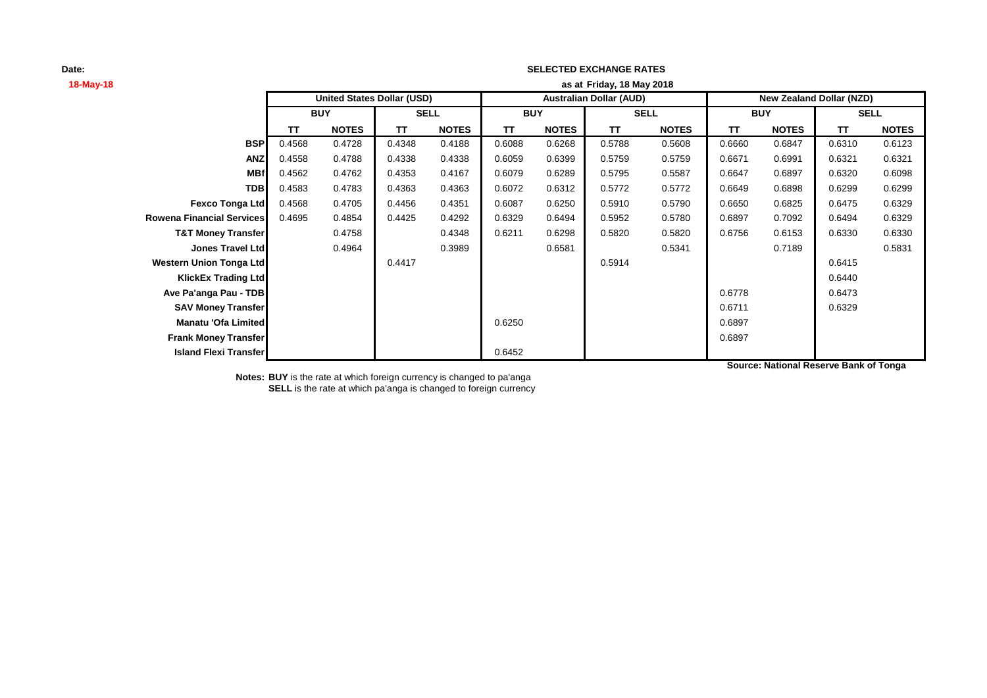## **SELECTED EXCHANGE RATES**

| 18-May-18                        |            |                                   |             | as at Friday, 18 May 2018 |                                |              |             |              |                                 |              |             |              |  |
|----------------------------------|------------|-----------------------------------|-------------|---------------------------|--------------------------------|--------------|-------------|--------------|---------------------------------|--------------|-------------|--------------|--|
|                                  |            | <b>United States Dollar (USD)</b> |             |                           | <b>Australian Dollar (AUD)</b> |              |             |              | <b>New Zealand Dollar (NZD)</b> |              |             |              |  |
|                                  | <b>BUY</b> |                                   | <b>SELL</b> |                           | <b>BUY</b>                     |              | <b>SELL</b> |              | <b>BUY</b>                      |              | <b>SELL</b> |              |  |
|                                  | TΤ         | <b>NOTES</b>                      | TT          | <b>NOTES</b>              | TΤ                             | <b>NOTES</b> | <b>TT</b>   | <b>NOTES</b> | TΤ                              | <b>NOTES</b> | TΤ          | <b>NOTES</b> |  |
| <b>BSP</b>                       | 0.4568     | 0.4728                            | 0.4348      | 0.4188                    | 0.6088                         | 0.6268       | 0.5788      | 0.5608       | 0.6660                          | 0.6847       | 0.6310      | 0.6123       |  |
| <b>ANZ</b>                       | 0.4558     | 0.4788                            | 0.4338      | 0.4338                    | 0.6059                         | 0.6399       | 0.5759      | 0.5759       | 0.6671                          | 0.6991       | 0.6321      | 0.6321       |  |
| <b>MBf</b>                       | 0.4562     | 0.4762                            | 0.4353      | 0.4167                    | 0.6079                         | 0.6289       | 0.5795      | 0.5587       | 0.6647                          | 0.6897       | 0.6320      | 0.6098       |  |
| <b>TDB</b>                       | 0.4583     | 0.4783                            | 0.4363      | 0.4363                    | 0.6072                         | 0.6312       | 0.5772      | 0.5772       | 0.6649                          | 0.6898       | 0.6299      | 0.6299       |  |
| <b>Fexco Tonga Ltd</b>           | 0.4568     | 0.4705                            | 0.4456      | 0.4351                    | 0.6087                         | 0.6250       | 0.5910      | 0.5790       | 0.6650                          | 0.6825       | 0.6475      | 0.6329       |  |
| <b>Rowena Financial Services</b> | 0.4695     | 0.4854                            | 0.4425      | 0.4292                    | 0.6329                         | 0.6494       | 0.5952      | 0.5780       | 0.6897                          | 0.7092       | 0.6494      | 0.6329       |  |
| <b>T&amp;T Money Transfer</b>    |            | 0.4758                            |             | 0.4348                    | 0.6211                         | 0.6298       | 0.5820      | 0.5820       | 0.6756                          | 0.6153       | 0.6330      | 0.6330       |  |
| <b>Jones Travel Ltd</b>          |            | 0.4964                            |             | 0.3989                    |                                | 0.6581       |             | 0.5341       |                                 | 0.7189       |             | 0.5831       |  |
| <b>Western Union Tonga Ltd</b>   |            |                                   | 0.4417      |                           |                                |              | 0.5914      |              |                                 |              | 0.6415      |              |  |
| <b>KlickEx Trading Ltdl</b>      |            |                                   |             |                           |                                |              |             |              |                                 |              | 0.6440      |              |  |
| Ave Pa'anga Pau - TDB            |            |                                   |             |                           |                                |              |             |              | 0.6778                          |              | 0.6473      |              |  |
| <b>SAV Money Transfer</b>        |            |                                   |             |                           |                                |              |             |              | 0.6711                          |              | 0.6329      |              |  |
| Manatu 'Ofa Limited              |            |                                   |             |                           | 0.6250                         |              |             |              | 0.6897                          |              |             |              |  |
| <b>Frank Money Transfer</b>      |            |                                   |             |                           |                                |              |             |              | 0.6897                          |              |             |              |  |
| <b>Island Flexi Transfer</b>     |            |                                   |             |                           | 0.6452                         |              |             |              |                                 |              |             |              |  |

**Source: National Reserve Bank of Tonga**

**Notes: BUY** is the rate at which foreign currency is changed to pa'anga **SELL** is the rate at which pa'anga is changed to foreign currency